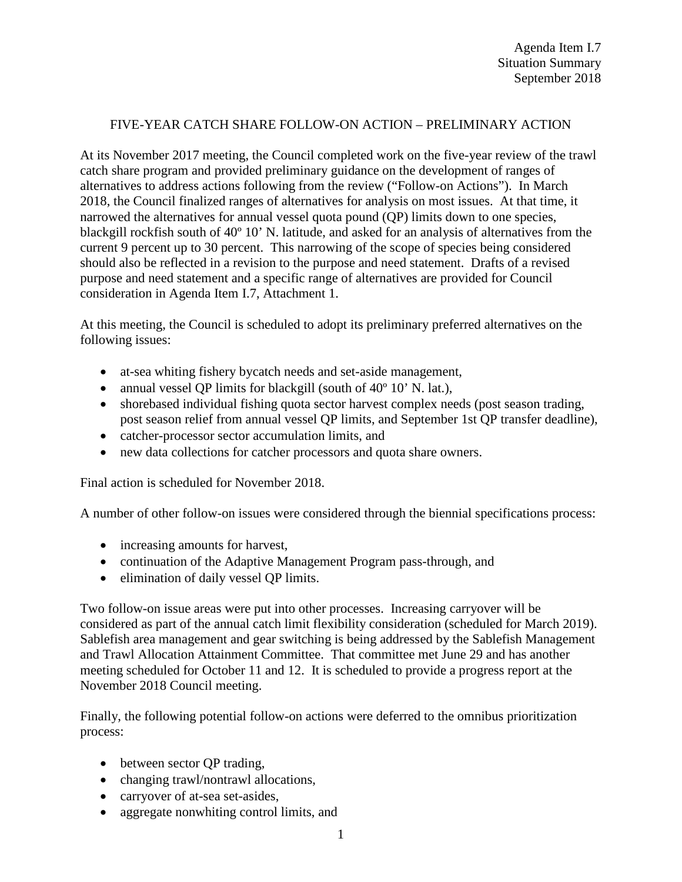## FIVE-YEAR CATCH SHARE FOLLOW-ON ACTION – PRELIMINARY ACTION

At its November 2017 meeting, the Council completed work on the five-year review of the trawl catch share program and provided preliminary guidance on the development of ranges of alternatives to address actions following from the review ("Follow-on Actions"). In March 2018, the Council finalized ranges of alternatives for analysis on most issues. At that time, it narrowed the alternatives for annual vessel quota pound (QP) limits down to one species, blackgill rockfish south of 40º 10' N. latitude, and asked for an analysis of alternatives from the current 9 percent up to 30 percent. This narrowing of the scope of species being considered should also be reflected in a revision to the purpose and need statement. Drafts of a revised purpose and need statement and a specific range of alternatives are provided for Council consideration in Agenda Item I.7, Attachment 1.

At this meeting, the Council is scheduled to adopt its preliminary preferred alternatives on the following issues:

- at-sea whiting fishery bycatch needs and set-aside management,
- annual vessel QP limits for blackgill (south of 40<sup>°</sup> 10' N. lat.),
- shorebased individual fishing quota sector harvest complex needs (post season trading, post season relief from annual vessel QP limits, and September 1st QP transfer deadline),
- catcher-processor sector accumulation limits, and
- new data collections for catcher processors and quota share owners.

Final action is scheduled for November 2018.

A number of other follow-on issues were considered through the biennial specifications process:

- increasing amounts for harvest,
- continuation of the Adaptive Management Program pass-through, and
- elimination of daily vessel QP limits.

Two follow-on issue areas were put into other processes. Increasing carryover will be considered as part of the annual catch limit flexibility consideration (scheduled for March 2019). Sablefish area management and gear switching is being addressed by the Sablefish Management and Trawl Allocation Attainment Committee. That committee met June 29 and has another meeting scheduled for October 11 and 12. It is scheduled to provide a progress report at the November 2018 Council meeting.

Finally, the following potential follow-on actions were deferred to the omnibus prioritization process:

- between sector QP trading,
- changing trawl/nontrawl allocations,
- carryover of at-sea set-asides,
- aggregate nonwhiting control limits, and